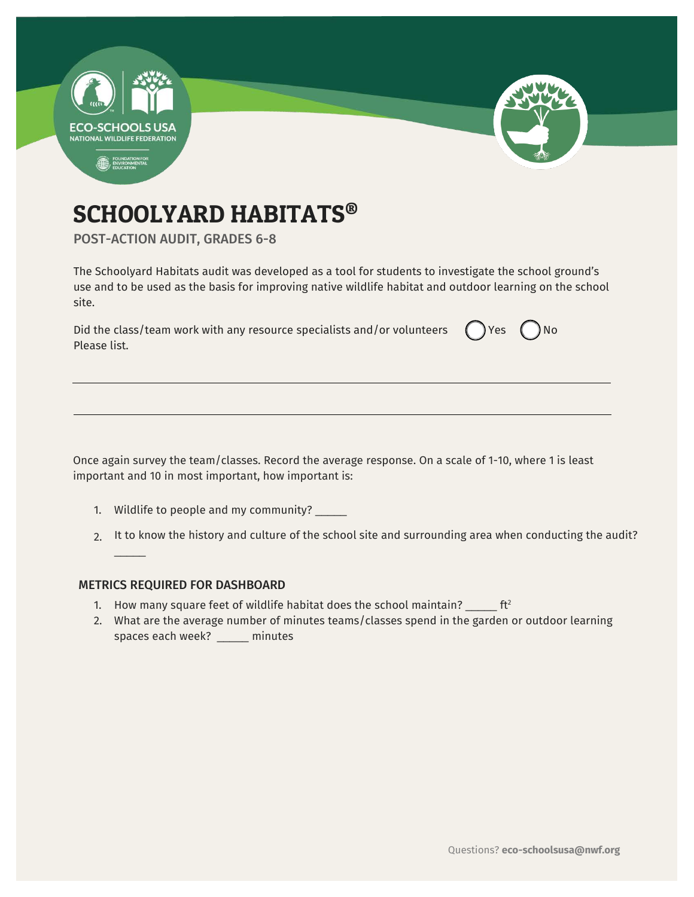

# SCHOOLYARD HABITATS®

POST-ACTION AUDIT, GRADES 6-8

The Schoolyard Habitats audit was developed as a tool for students to investigate the school ground's use and to be used as the basis for improving native wildlife habitat and outdoor learning on the school site.

| Did the class/team work with any resource specialists and/or volunteers $\bigcirc$ Yes $\bigcirc$ No |  |
|------------------------------------------------------------------------------------------------------|--|
| Please list.                                                                                         |  |

Once again survey the team/classes. Record the average response. On a scale of 1-10, where 1 is least important and 10 in most important, how important is:

- 1. Wildlife to people and my community? \_\_\_\_\_
- 2. It to know the history and culture of the school site and surrounding area when conducting the audit?

### METRICS REQUIRED FOR DASHBOARD

 $\overline{\phantom{a}}$ 

- 1. How many square feet of wildlife habitat does the school maintain?  $\frac{1}{2}$  ft<sup>2</sup>
- 2. What are the average number of minutes teams/classes spend in the garden or outdoor learning spaces each week? \_\_\_\_\_ minutes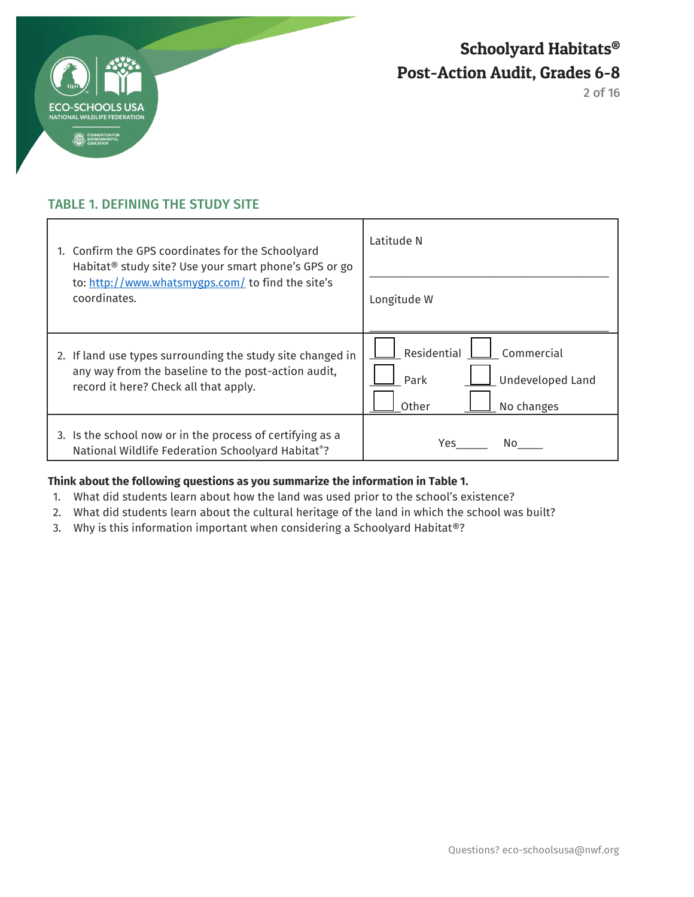

2 of 16

# TABLE 1. DEFINING THE STUDY SITE

| 1. Confirm the GPS coordinates for the Schoolyard<br>Habitat <sup>®</sup> study site? Use your smart phone's GPS or go<br>to: http://www.whatsmygps.com/ to find the site's<br>coordinates. | Latitude N                                                                          |
|---------------------------------------------------------------------------------------------------------------------------------------------------------------------------------------------|-------------------------------------------------------------------------------------|
|                                                                                                                                                                                             | Longitude W                                                                         |
| 2. If land use types surrounding the study site changed in<br>any way from the baseline to the post-action audit,<br>record it here? Check all that apply.                                  | Residential<br>Commercial<br><b>Undeveloped Land</b><br>Park<br>Other<br>No changes |
| 3. Is the school now or in the process of certifying as a<br>National Wildlife Federation Schoolyard Habitat®?                                                                              | Yes<br>No.                                                                          |

### **Think about the following questions as you summarize the information in Table 1.**

- 1. What did students learn about how the land was used prior to the school's existence?
- 2. What did students learn about the cultural heritage of the land in which the school was built?
- 3. Why is this information important when considering a Schoolyard Habitat®?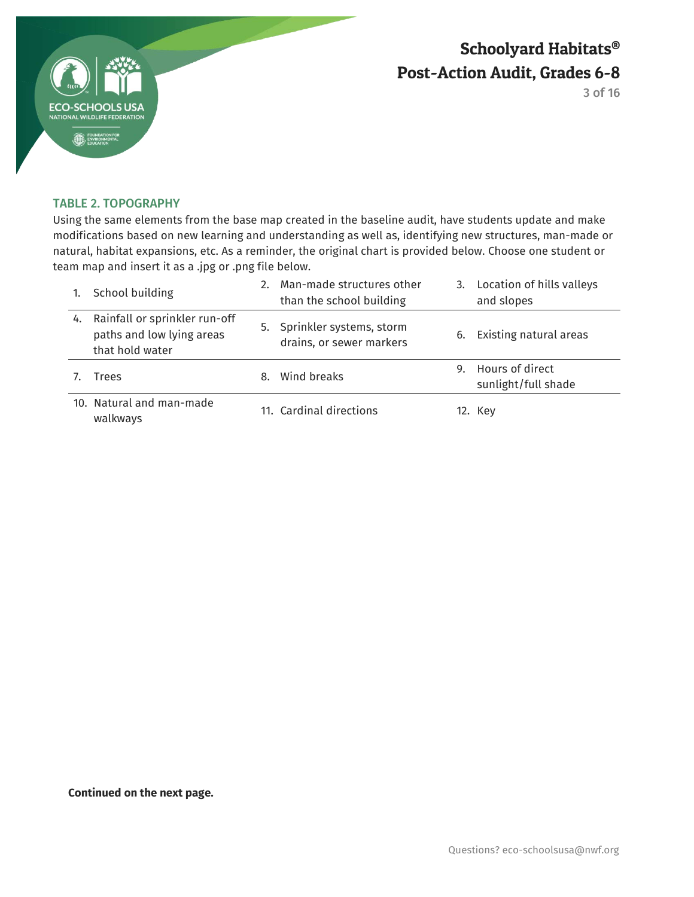

3 of 16

### TABLE 2. TOPOGRAPHY

Using the same elements from the base map created in the baseline audit, have students update and make modifications based on new learning and understanding as well as, identifying new structures, man-made or natural, habitat expansions, etc. As a reminder, the original chart is provided below. Choose one student or team map and insert it as a .jpg or .png file below.

|    | School building                                                               |    | 2. Man-made structures other<br>than the school building |    | 3. Location of hills valleys<br>and slopes |
|----|-------------------------------------------------------------------------------|----|----------------------------------------------------------|----|--------------------------------------------|
| 4. | Rainfall or sprinkler run-off<br>paths and low lying areas<br>that hold water |    | 5. Sprinkler systems, storm<br>drains, or sewer markers  | 6. | Existing natural areas                     |
|    | Trees                                                                         | 8. | Wind breaks                                              |    | 9. Hours of direct<br>sunlight/full shade  |
|    | 10. Natural and man-made<br>walkways                                          |    | 11. Cardinal directions                                  |    | 12. Key                                    |

**Continued on the next page.**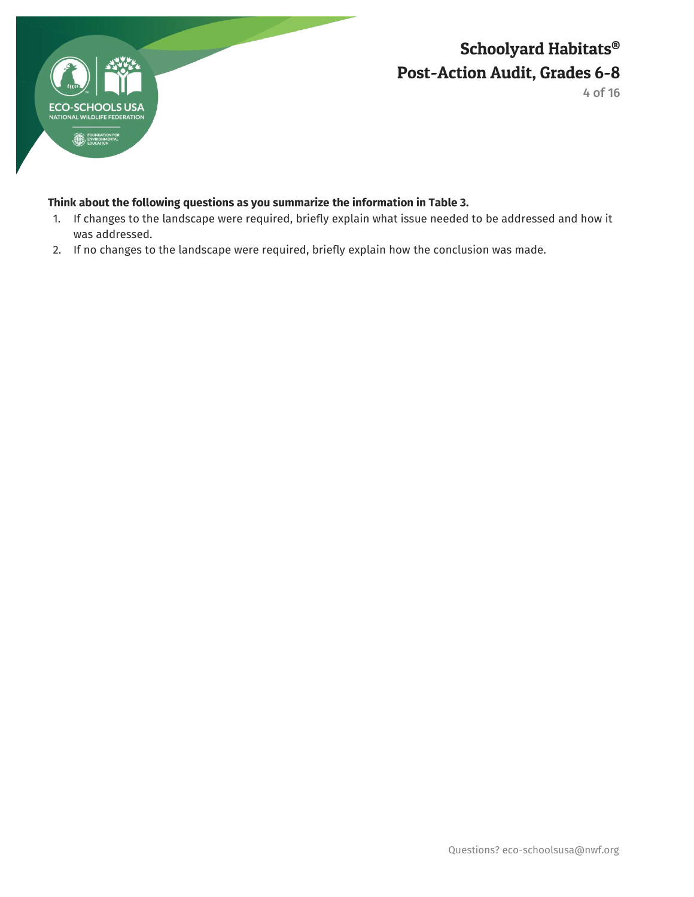

4 of 16

## **Think about the following questions as you summarize the information in Table 3.**

- 1. If changes to the landscape were required, briefly explain what issue needed to be addressed and how it was addressed.
- 2. If no changes to the landscape were required, briefly explain how the conclusion was made.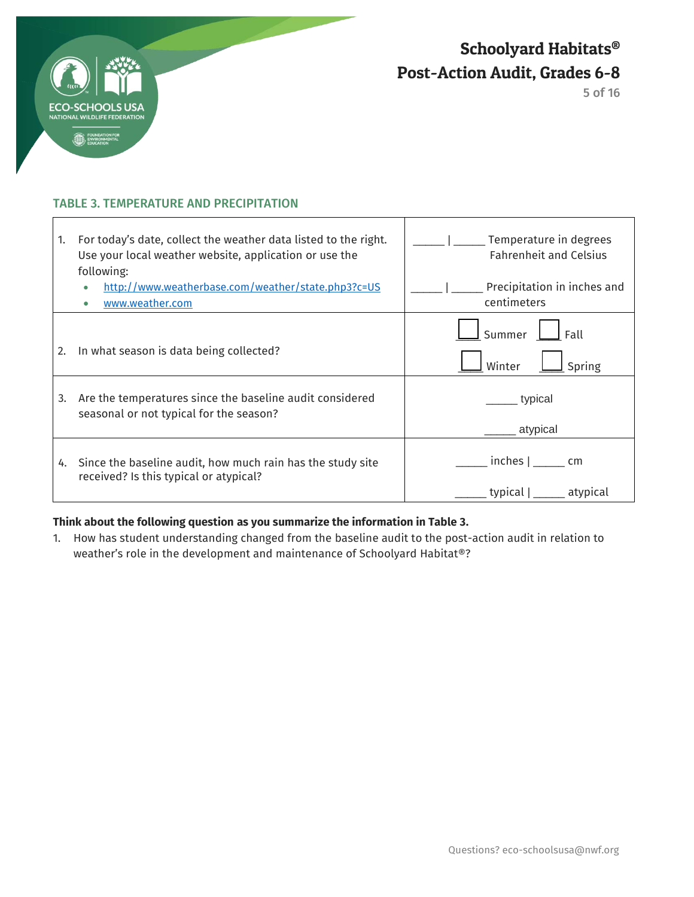

 $\overline{1}$ 

Schoolyard Habitats® Post-Action Audit, Grades 6-8

5 of 16

┑

### TABLE 3. TEMPERATURE AND PRECIPITATION

| 1. | For today's date, collect the weather data listed to the right.<br>Use your local weather website, application or use the<br>following: | Temperature in degrees<br><b>Fahrenheit and Celsius</b> |
|----|-----------------------------------------------------------------------------------------------------------------------------------------|---------------------------------------------------------|
|    | http://www.weatherbase.com/weather/state.php3?c=US<br>www.weather.com                                                                   | Precipitation in inches and<br>centimeters              |
| 2. | In what season is data being collected?                                                                                                 | Fall<br>Summer<br>Winter<br>Spring                      |
| 3. | Are the temperatures since the baseline audit considered<br>seasonal or not typical for the season?                                     | typical<br>atypical                                     |
| 4. | Since the baseline audit, how much rain has the study site<br>received? Is this typical or atypical?                                    | $inches  $ ________ cm<br>typical  <br>atypical         |

Т

### **Think about the following question as you summarize the information in Table 3.**

1. How has student understanding changed from the baseline audit to the post-action audit in relation to weather's role in the development and maintenance of Schoolyard Habitat®?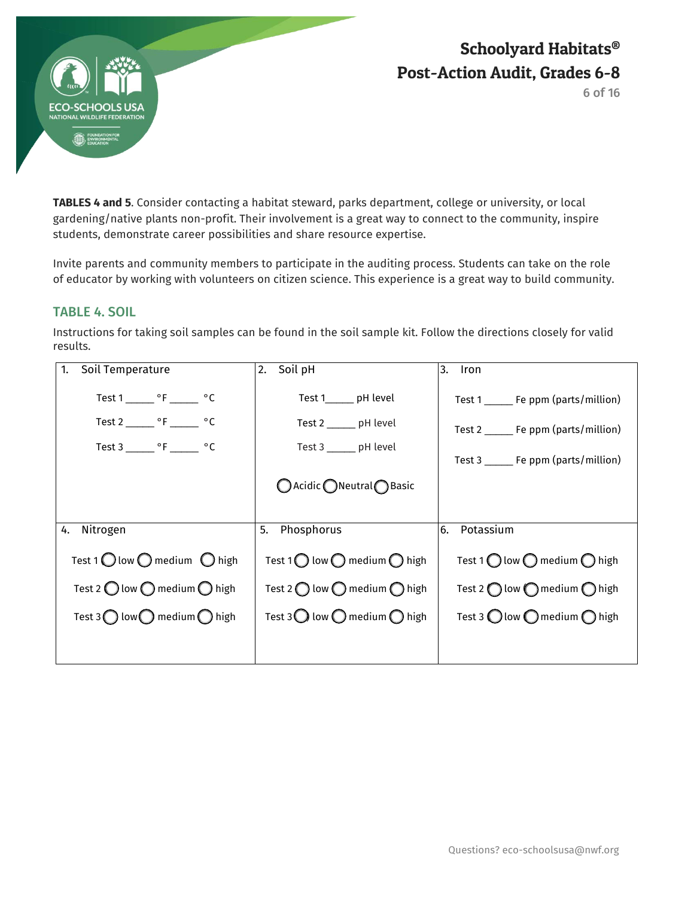

6 of 16

**TABLES 4 and 5**. Consider contacting a habitat steward, parks department, college or university, or local gardening/native plants non-profit. Their involvement is a great way to connect to the community, inspire students, demonstrate career possibilities and share resource expertise.

Invite parents and community members to participate in the auditing process. Students can take on the role of educator by working with volunteers on citizen science. This experience is a great way to build community.

## TABLE 4. SOIL

Instructions for taking soil samples can be found in the soil sample kit. Follow the directions closely for valid results.

| Soil Temperature                                                                                                                         | Soil pH                                                                                                  | 3.                                                                                                                         |
|------------------------------------------------------------------------------------------------------------------------------------------|----------------------------------------------------------------------------------------------------------|----------------------------------------------------------------------------------------------------------------------------|
| 1.                                                                                                                                       | 2.                                                                                                       | Iron                                                                                                                       |
| Test 1 ________ $\circ$ F ________ $\circ$ C<br>Test 2 _______ $\circ$ F _______ $\circ$ C<br>Test 3 _______ $\circ$ F _______ $\circ$ C | Test 1______ pH level<br>Test 2 _______ pH level<br>Test 3 ______ pH level<br>○ Acidic ○ Neutral ● Basic | Test 1 _______ Fe ppm (parts/million)<br>Test 2 _______ Fe ppm (parts/million)<br>Test $3 \_\_\_\_$ Fe ppm (parts/million) |
| Nitrogen                                                                                                                                 | Phosphorus                                                                                               | Potassium                                                                                                                  |
| 4.                                                                                                                                       | 5.                                                                                                       | l6.                                                                                                                        |
| Test 1 $\bigcirc$ low $\bigcirc$ medium $\bigcirc$ high                                                                                  | Test 1 $\bigcirc$ low $\bigcirc$ medium $\bigcirc$ high                                                  | Test 1 $\bigcirc$ low $\bigcirc$ medium $\bigcirc$ high                                                                    |
| Test 2 $\bigcirc$ low $\bigcirc$ medium $\bigcirc$ high                                                                                  | Test 2 $\bigcap$ low $\bigcap$ medium $\bigcap$ high                                                     | Test 2 $\bigcap$ low $\bigcap$ medium $\bigcap$ high                                                                       |
| Test 3 $\bigcap$ low $\bigcap$ medium $\bigcap$ high                                                                                     | Test 3 $\bigcirc$ low $\bigcirc$ medium $\bigcirc$ high                                                  | Test 3 $\bigcirc$ low $\bigcirc$ medium $\bigcirc$ high                                                                    |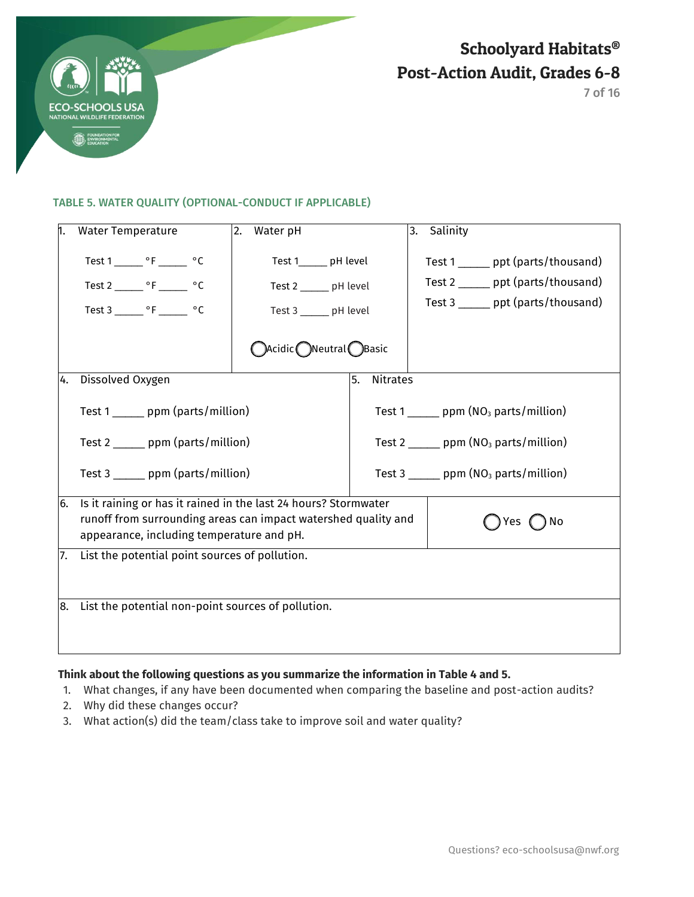

7 of 16

#### TABLE 5. WATER QUALITY (OPTIONAL-CONDUCT IF APPLICABLE)

|     | <b>Water Temperature</b>                                                                                                                                                                      | Water pH<br>2.                                        |                       | Salinity<br>3.                                           |  |  |
|-----|-----------------------------------------------------------------------------------------------------------------------------------------------------------------------------------------------|-------------------------------------------------------|-----------------------|----------------------------------------------------------|--|--|
|     | Test $1 \_\_\_\$ °F $\_\_\_\$ °C                                                                                                                                                              | Test 1______ pH level                                 |                       | Test 1 ______ ppt (parts/thousand)                       |  |  |
|     | Test 2 _______ $\circ$ F _______ $\circ$ C                                                                                                                                                    | Test 2 ______ pH level                                |                       | Test 2 ______ ppt (parts/thousand)                       |  |  |
|     | Test 3 _______ °F ______ °C                                                                                                                                                                   | Test 3 _____ pH level                                 |                       | Test 3 ______ ppt (parts/thousand)                       |  |  |
|     |                                                                                                                                                                                               | $\bigcirc$ Acidic $\bigcirc$ Neutral $\bigcirc$ Basic |                       |                                                          |  |  |
| 4.  | Dissolved Oxygen                                                                                                                                                                              |                                                       | <b>Nitrates</b><br>5. |                                                          |  |  |
|     | Test 1 _______ ppm (parts/million)                                                                                                                                                            |                                                       |                       | Test 1 ______ ppm $(NO3$ parts/million)                  |  |  |
|     | Test 2 ______ ppm (parts/million)                                                                                                                                                             |                                                       |                       | Test 2 _______ ppm ( $NO3$ parts/million)                |  |  |
|     | Test 3 ______ ppm (parts/million)                                                                                                                                                             |                                                       |                       | Test 3 $\frac{1}{2}$ ppm (NO <sub>3</sub> parts/million) |  |  |
| 6.  | Is it raining or has it rained in the last 24 hours? Stormwater<br>runoff from surrounding areas can impact watershed quality and<br>) No<br>Yes<br>appearance, including temperature and pH. |                                                       |                       |                                                          |  |  |
| 17. | List the potential point sources of pollution.                                                                                                                                                |                                                       |                       |                                                          |  |  |
| 8.  | List the potential non-point sources of pollution.                                                                                                                                            |                                                       |                       |                                                          |  |  |

### **Think about the following questions as you summarize the information in Table 4 and 5.**

- 1. What changes, if any have been documented when comparing the baseline and post-action audits?
- 2. Why did these changes occur?
- 3. What action(s) did the team/class take to improve soil and water quality?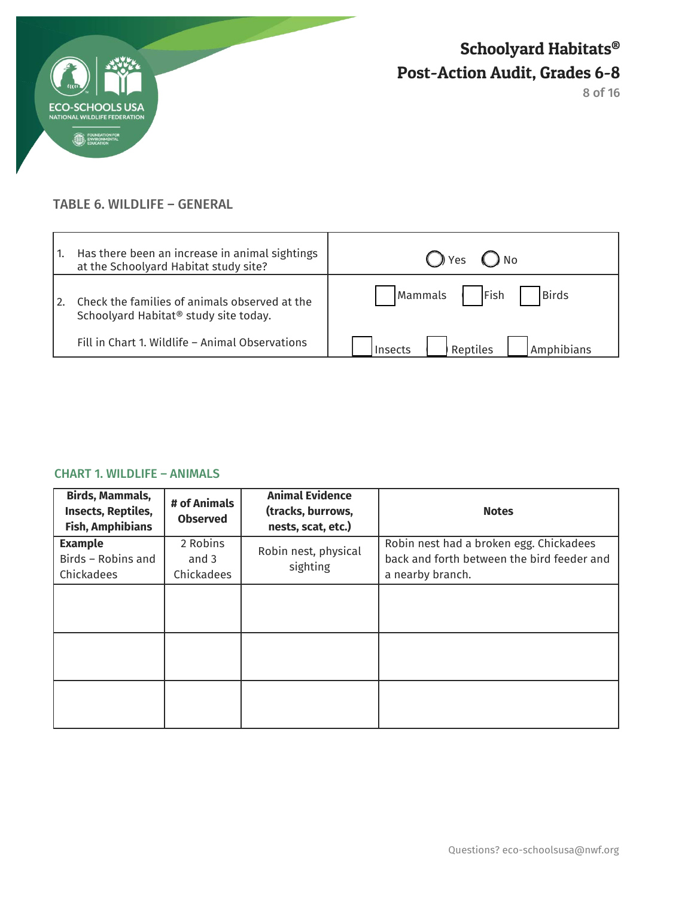

## TABLE 6. WILDLIFE – GENERAL

| Has there been an increase in animal sightings<br>at the Schoolyard Habitat study site?            | () Yes<br>$()$ No                 |
|----------------------------------------------------------------------------------------------------|-----------------------------------|
| Check the families of animals observed at the<br>Schoolyard Habitat <sup>®</sup> study site today. | Fish<br>Birds<br>Mammals          |
| Fill in Chart 1. Wildlife - Animal Observations                                                    | Reptiles<br>Amphibians<br>Insects |

### CHART 1. WILDLIFE – ANIMALS

| Birds, Mammals,<br><b>Insects, Reptiles,</b><br><b>Fish, Amphibians</b> | # of Animals<br><b>Observed</b> | <b>Animal Evidence</b><br>(tracks, burrows,<br>nests, scat, etc.) | <b>Notes</b>                                                                                              |
|-------------------------------------------------------------------------|---------------------------------|-------------------------------------------------------------------|-----------------------------------------------------------------------------------------------------------|
| <b>Example</b><br>Birds - Robins and<br>Chickadees                      | 2 Robins<br>and 3<br>Chickadees | Robin nest, physical<br>sighting                                  | Robin nest had a broken egg. Chickadees<br>back and forth between the bird feeder and<br>a nearby branch. |
|                                                                         |                                 |                                                                   |                                                                                                           |
|                                                                         |                                 |                                                                   |                                                                                                           |
|                                                                         |                                 |                                                                   |                                                                                                           |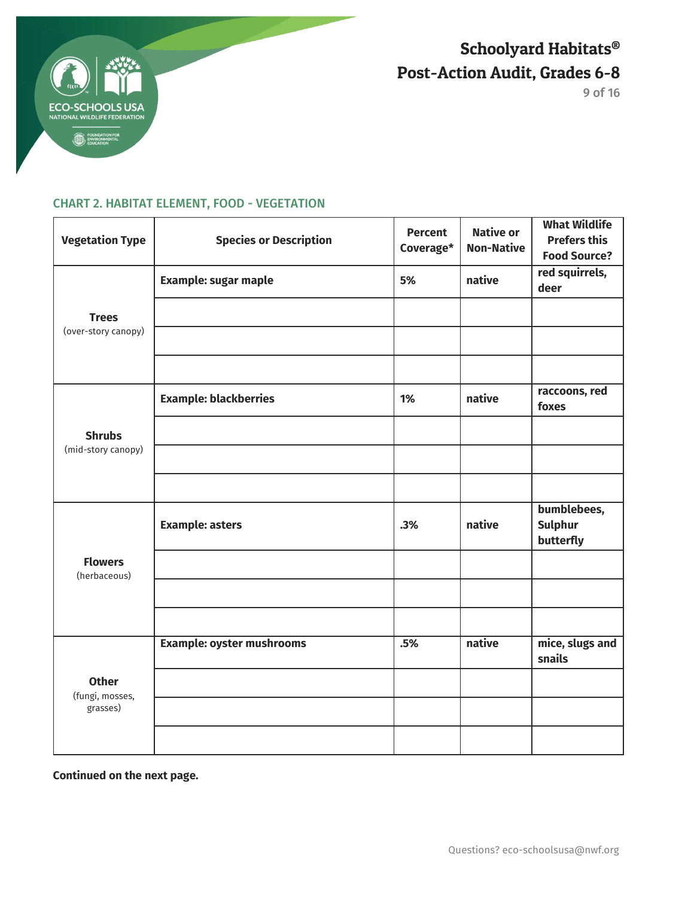

9 of 16

## CHART 2. HABITAT ELEMENT, FOOD - VEGETATION

| <b>Vegetation Type</b>          | <b>Species or Description</b>    | <b>Percent</b><br>Coverage* | <b>Native or</b><br><b>Non-Native</b> | <b>What Wildlife</b><br><b>Prefers this</b><br><b>Food Source?</b> |
|---------------------------------|----------------------------------|-----------------------------|---------------------------------------|--------------------------------------------------------------------|
|                                 | <b>Example: sugar maple</b>      | 5%                          | native                                | red squirrels,<br>deer                                             |
| <b>Trees</b>                    |                                  |                             |                                       |                                                                    |
| (over-story canopy)             |                                  |                             |                                       |                                                                    |
|                                 |                                  |                             |                                       |                                                                    |
|                                 | <b>Example: blackberries</b>     | 1%                          | native                                | raccoons, red<br>foxes                                             |
| <b>Shrubs</b>                   |                                  |                             |                                       |                                                                    |
| (mid-story canopy)              |                                  |                             |                                       |                                                                    |
|                                 |                                  |                             |                                       |                                                                    |
|                                 | <b>Example: asters</b>           | .3%                         | native                                | bumblebees,<br><b>Sulphur</b><br>butterfly                         |
| <b>Flowers</b><br>(herbaceous)  |                                  |                             |                                       |                                                                    |
|                                 |                                  |                             |                                       |                                                                    |
|                                 |                                  |                             |                                       |                                                                    |
|                                 | <b>Example: oyster mushrooms</b> | .5%                         | native                                | mice, slugs and<br>snails                                          |
| <b>Other</b><br>(fungi, mosses, |                                  |                             |                                       |                                                                    |
| grasses)                        |                                  |                             |                                       |                                                                    |
|                                 |                                  |                             |                                       |                                                                    |

**Continued on the next page.**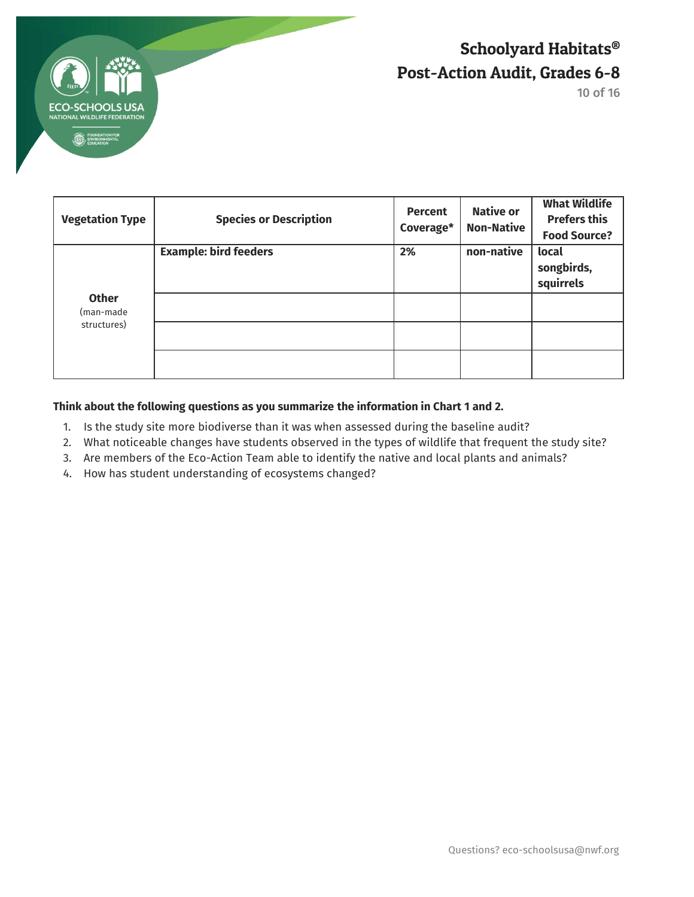

10 of 16

| <b>Vegetation Type</b>                   | <b>Species or Description</b> | <b>Percent</b><br>Coverage* | <b>Native or</b><br><b>Non-Native</b> | <b>What Wildlife</b><br><b>Prefers this</b><br><b>Food Source?</b> |
|------------------------------------------|-------------------------------|-----------------------------|---------------------------------------|--------------------------------------------------------------------|
|                                          | <b>Example: bird feeders</b>  | 2%                          | non-native                            | local<br>songbirds,<br>squirrels                                   |
| <b>Other</b><br>(man-made<br>structures) |                               |                             |                                       |                                                                    |
|                                          |                               |                             |                                       |                                                                    |

### **Think about the following questions as you summarize the information in Chart 1 and 2.**

- 1. Is the study site more biodiverse than it was when assessed during the baseline audit?
- 2. What noticeable changes have students observed in the types of wildlife that frequent the study site?
- 3. Are members of the Eco-Action Team able to identify the native and local plants and animals?
- 4. How has student understanding of ecosystems changed?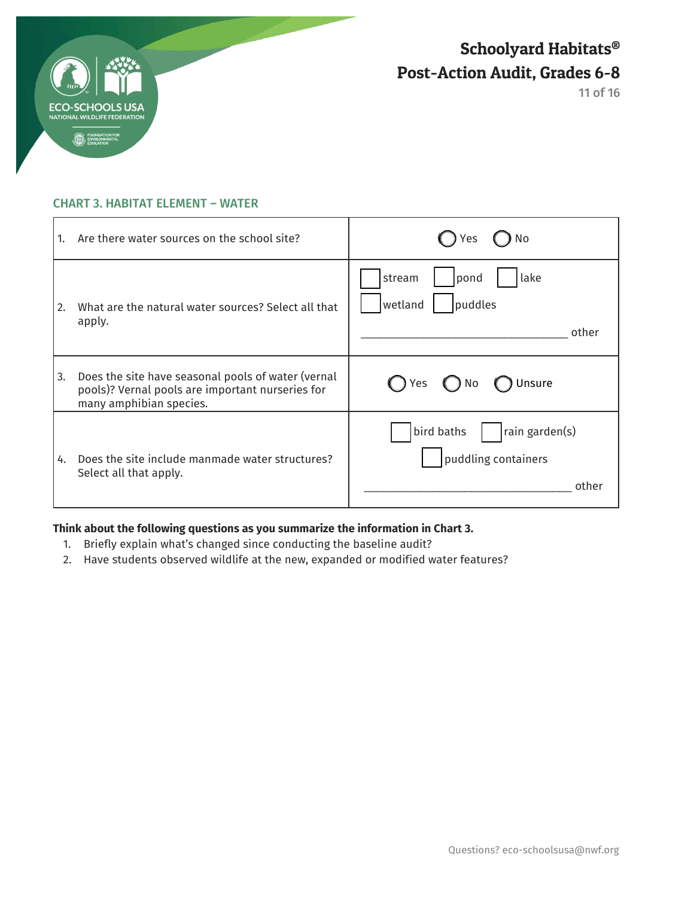

### CHART 3. HABITAT ELEMENT – WATER

| 1.   | Are there water sources on the school site?                                                                                       | No<br>Yes                                                    |
|------|-----------------------------------------------------------------------------------------------------------------------------------|--------------------------------------------------------------|
| l 2. | What are the natural water sources? Select all that<br>apply.                                                                     | lake<br>stream<br>pond<br>puddles<br>wetland<br>other        |
| 3.   | Does the site have seasonal pools of water (vernal<br>pools)? Vernal pools are important nurseries for<br>many amphibian species. | Unsure<br>Yes<br>$()$ No                                     |
| 4.   | Does the site include manmade water structures?<br>Select all that apply.                                                         | bird baths<br>rain garden(s)<br>puddling containers<br>other |

## **Think about the following questions as you summarize the information in Chart 3.**

- 1. Briefly explain what's changed since conducting the baseline audit?
- 2. Have students observed wildlife at the new, expanded or modified water features?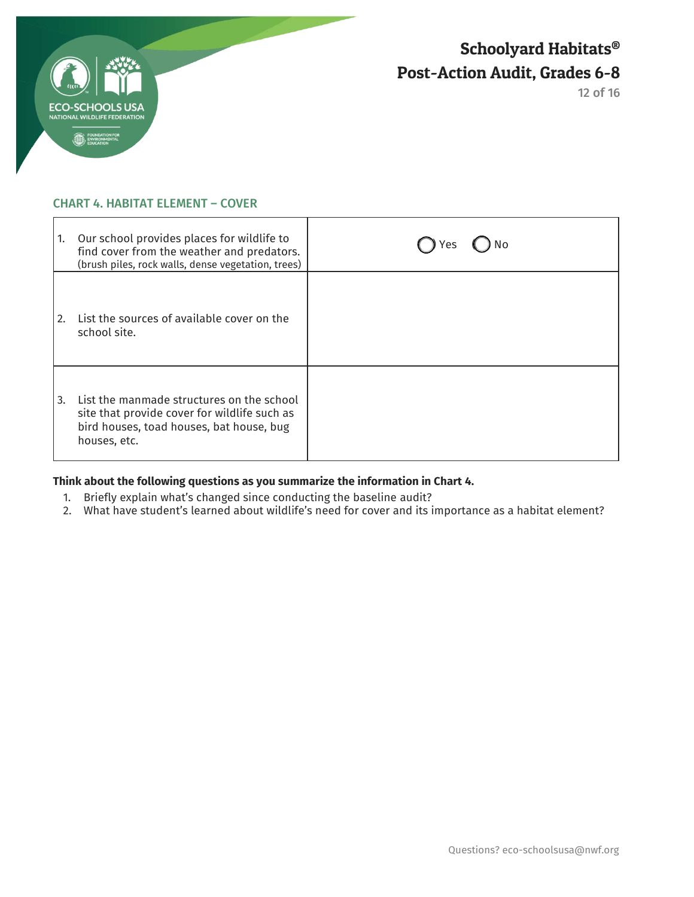

### CHART 4. HABITAT ELEMENT – COVER

| 1.   | Our school provides places for wildlife to<br>find cover from the weather and predators.<br>(brush piles, rock walls, dense vegetation, trees)        | Yes |
|------|-------------------------------------------------------------------------------------------------------------------------------------------------------|-----|
| I 2. | List the sources of available cover on the<br>school site.                                                                                            |     |
| l 3. | List the manmade structures on the school<br>site that provide cover for wildlife such as<br>bird houses, toad houses, bat house, bug<br>houses, etc. |     |

## **Think about the following questions as you summarize the information in Chart 4.**

- 1. Briefly explain what's changed since conducting the baseline audit?
- 2. What have student's learned about wildlife's need for cover and its importance as a habitat element?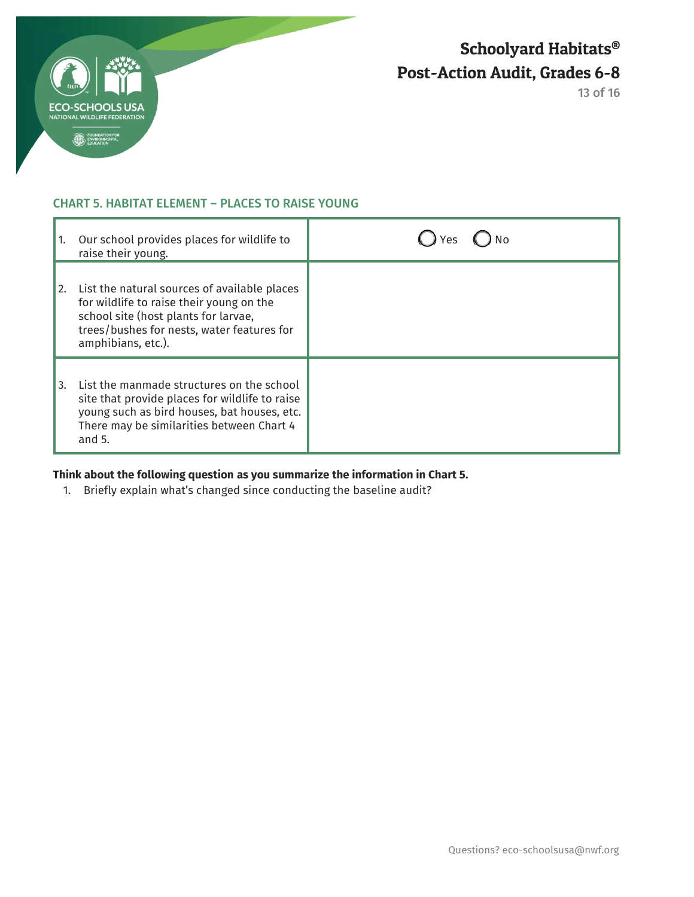

### CHART 5. HABITAT ELEMENT – PLACES TO RAISE YOUNG

| 1. | Our school provides places for wildlife to<br>raise their young.                                                                                                                                     |  |
|----|------------------------------------------------------------------------------------------------------------------------------------------------------------------------------------------------------|--|
| 2. | List the natural sources of available places<br>for wildlife to raise their young on the<br>school site (host plants for larvae,<br>trees/bushes for nests, water features for<br>amphibians, etc.). |  |
| 3. | List the manmade structures on the school<br>site that provide places for wildlife to raise<br>young such as bird houses, bat houses, etc.<br>There may be similarities between Chart 4<br>and $5.$  |  |

# **Think about the following question as you summarize the information in Chart 5.**

1. Briefly explain what's changed since conducting the baseline audit?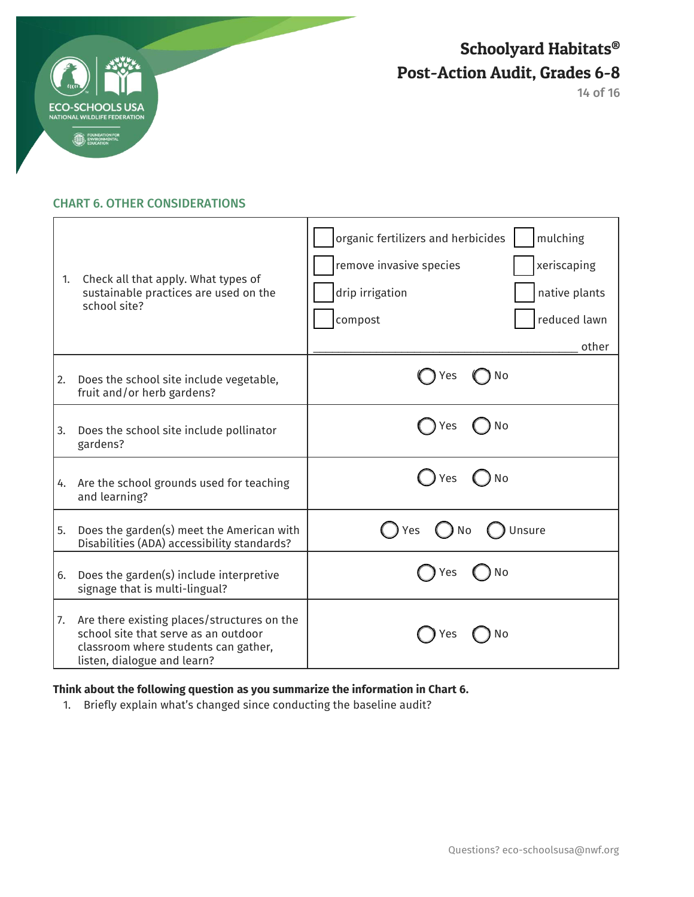

14 of 16

### CHART 6. OTHER CONSIDERATIONS

| 1. | Check all that apply. What types of<br>sustainable practices are used on the<br>school site?                                                               | organic fertilizers and herbicides<br>mulching<br>remove invasive species<br>xeriscaping<br>drip irrigation<br>native plants<br>reduced lawn<br>compost<br>other |
|----|------------------------------------------------------------------------------------------------------------------------------------------------------------|------------------------------------------------------------------------------------------------------------------------------------------------------------------|
| 2. | Does the school site include vegetable,<br>fruit and/or herb gardens?                                                                                      | ) No<br><b>Yes</b>                                                                                                                                               |
| 3. | Does the school site include pollinator<br>gardens?                                                                                                        | Yes<br>No                                                                                                                                                        |
| 4. | Are the school grounds used for teaching<br>and learning?                                                                                                  | Yes<br>No                                                                                                                                                        |
| 5. | Does the garden(s) meet the American with<br>Disabilities (ADA) accessibility standards?                                                                   | Unsure<br>Yes<br>No                                                                                                                                              |
| 6. | Does the garden(s) include interpretive<br>signage that is multi-lingual?                                                                                  | No<br>Yes                                                                                                                                                        |
| 7. | Are there existing places/structures on the<br>school site that serve as an outdoor<br>classroom where students can gather,<br>listen, dialogue and learn? | res<br>NΟ                                                                                                                                                        |

## **Think about the following question as you summarize the information in Chart 6.**

1. Briefly explain what's changed since conducting the baseline audit?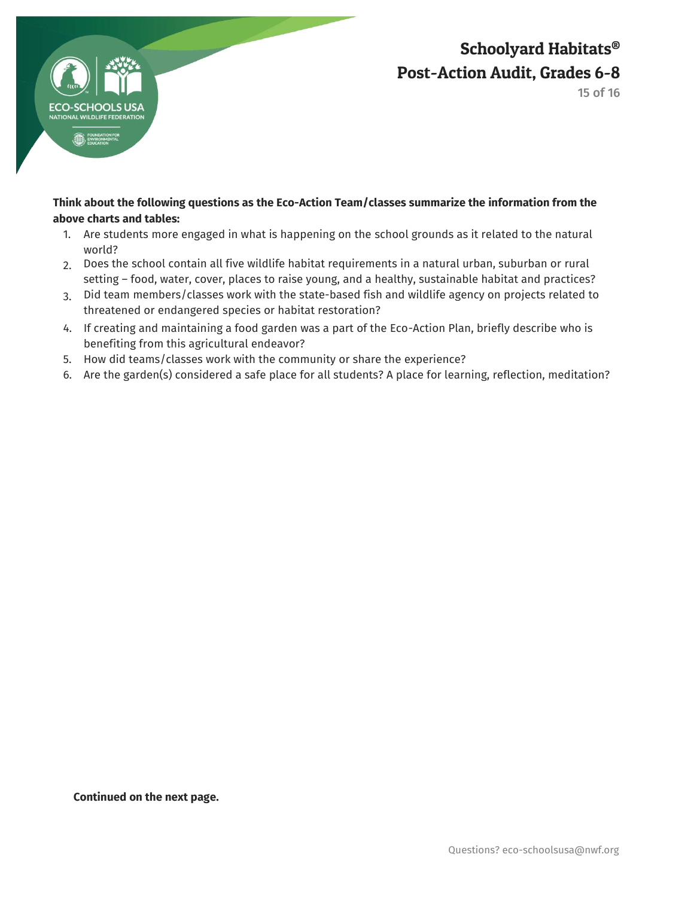

15 of 16

### **Think about the following questions as the Eco-Action Team/classes summarize the information from the above charts and tables:**

- 1. Are students more engaged in what is happening on the school grounds as it related to the natural world?
- 2. Does the school contain all five wildlife habitat requirements in a natural urban, suburban or rural setting – food, water, cover, places to raise young, and a healthy, sustainable habitat and practices?
- 3. Did team members/classes work with the state-based fish and wildlife agency on projects related to threatened or endangered species or habitat restoration?
- 4. If creating and maintaining a food garden was a part of the Eco-Action Plan, briefly describe who is benefiting from this agricultural endeavor?
- 5. How did teams/classes work with the community or share the experience?
- 6. Are the garden(s) considered a safe place for all students? A place for learning, reflection, meditation?

**Continued on the next page.**